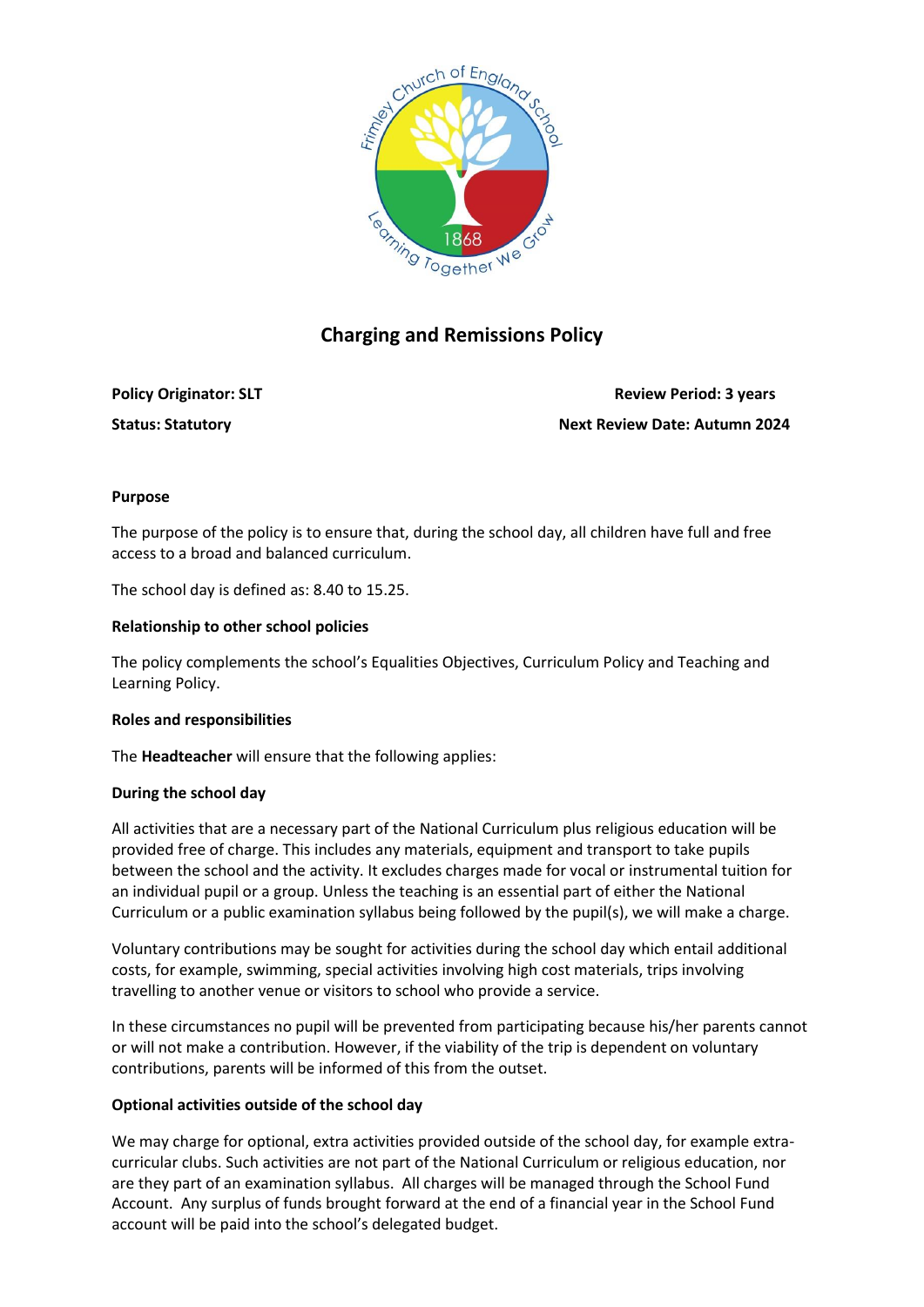

# **Charging and Remissions Policy**

**Policy Originator: SLT Review Period: 3 years Review Period: 3 years Status: Statutory Next Review Date: Autumn 2024**

## **Purpose**

The purpose of the policy is to ensure that, during the school day, all children have full and free access to a broad and balanced curriculum.

The school day is defined as: 8.40 to 15.25.

### **Relationship to other school policies**

The policy complements the school's Equalities Objectives, Curriculum Policy and Teaching and Learning Policy.

#### **Roles and responsibilities**

The **Headteacher** will ensure that the following applies:

## **During the school day**

All activities that are a necessary part of the National Curriculum plus religious education will be provided free of charge. This includes any materials, equipment and transport to take pupils between the school and the activity. It excludes charges made for vocal or instrumental tuition for an individual pupil or a group. Unless the teaching is an essential part of either the National Curriculum or a public examination syllabus being followed by the pupil(s), we will make a charge.

Voluntary contributions may be sought for activities during the school day which entail additional costs, for example, swimming, special activities involving high cost materials, trips involving travelling to another venue or visitors to school who provide a service.

In these circumstances no pupil will be prevented from participating because his/her parents cannot or will not make a contribution. However, if the viability of the trip is dependent on voluntary contributions, parents will be informed of this from the outset.

#### **Optional activities outside of the school day**

We may charge for optional, extra activities provided outside of the school day, for example extracurricular clubs. Such activities are not part of the National Curriculum or religious education, nor are they part of an examination syllabus. All charges will be managed through the School Fund Account. Any surplus of funds brought forward at the end of a financial year in the School Fund account will be paid into the school's delegated budget.